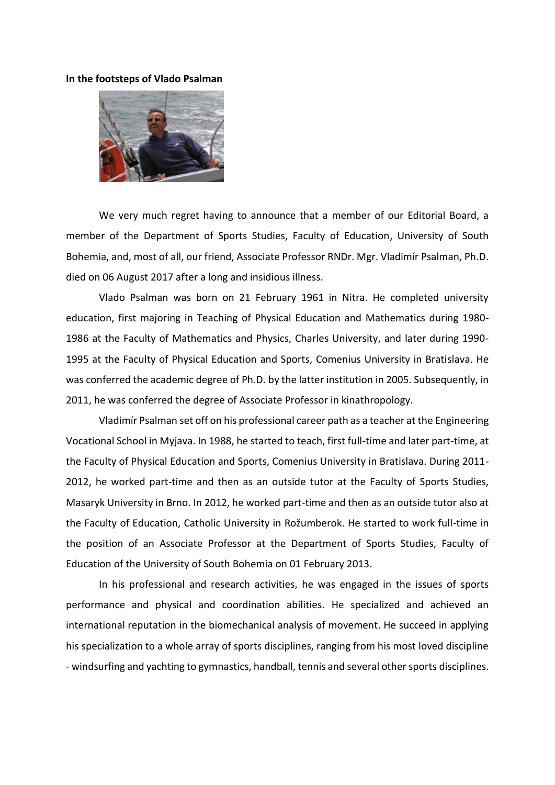## **In the footsteps of Vlado Psalman**



We very much regret having to announce that a member of our Editorial Board, a member of the Department of Sports Studies, Faculty of Education, University of South Bohemia, and, most of all, our friend, Associate Professor RNDr. Mgr. Vladimír Psalman, Ph.D. died on 06 August 2017 after a long and insidious illness.

Vlado Psalman was born on 21 February 1961 in Nitra. He completed university education, first majoring in Teaching of Physical Education and Mathematics during 1980- 1986 at the Faculty of Mathematics and Physics, Charles University, and later during 1990- 1995 at the Faculty of Physical Education and Sports, Comenius University in Bratislava. He was conferred the academic degree of Ph.D. by the latter institution in 2005. Subsequently, in 2011, he was conferred the degree of Associate Professor in kinathropology.

Vladimír Psalman set off on his professional career path as a teacher at the Engineering Vocational School in Myjava. In 1988, he started to teach, first full-time and later part-time, at the Faculty of Physical Education and Sports, Comenius University in Bratislava. During 2011- 2012, he worked part-time and then as an outside tutor at the Faculty of Sports Studies, Masaryk University in Brno. In 2012, he worked part-time and then as an outside tutor also at the Faculty of Education, Catholic University in Rožumberok. He started to work full-time in the position of an Associate Professor at the Department of Sports Studies, Faculty of Education of the University of South Bohemia on 01 February 2013.

In his professional and research activities, he was engaged in the issues of sports performance and physical and coordination abilities. He specialized and achieved an international reputation in the biomechanical analysis of movement. He succeed in applying his specialization to a whole array of sports disciplines, ranging from his most loved discipline - windsurfing and yachting to gymnastics, handball, tennis and several other sports disciplines.